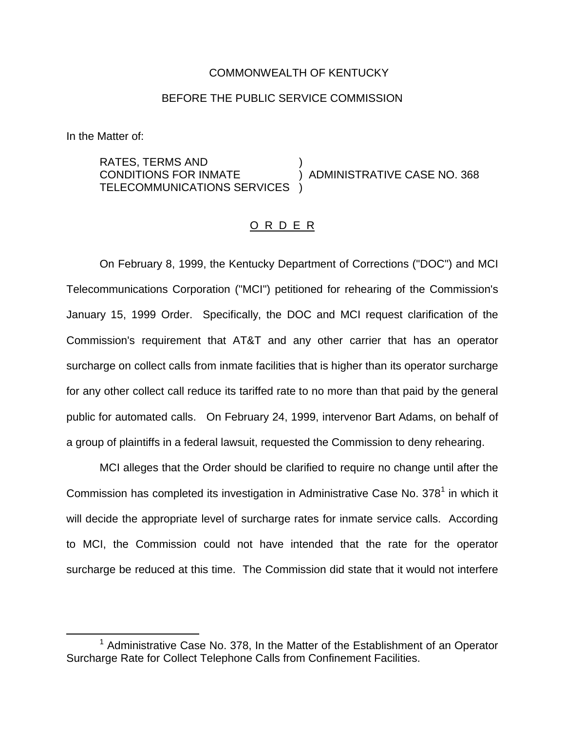## COMMONWEALTH OF KENTUCKY

## BEFORE THE PUBLIC SERVICE COMMISSION

In the Matter of:

RATES, TERMS AND ) CONDITIONS FOR INMATE  $\overrightarrow{)}$  ADMINISTRATIVE CASE NO. 368 TELECOMMUNICATIONS SERVICES )

## O R D E R

On February 8, 1999, the Kentucky Department of Corrections ("DOC") and MCI Telecommunications Corporation ("MCI") petitioned for rehearing of the Commission's January 15, 1999 Order. Specifically, the DOC and MCI request clarification of the Commission's requirement that AT&T and any other carrier that has an operator surcharge on collect calls from inmate facilities that is higher than its operator surcharge for any other collect call reduce its tariffed rate to no more than that paid by the general public for automated calls. On February 24, 1999, intervenor Bart Adams, on behalf of a group of plaintiffs in a federal lawsuit, requested the Commission to deny rehearing.

MCI alleges that the Order should be clarified to require no change until after the Commission has completed its investigation in Administrative Case No.  $378<sup>1</sup>$  in which it will decide the appropriate level of surcharge rates for inmate service calls. According to MCI, the Commission could not have intended that the rate for the operator surcharge be reduced at this time. The Commission did state that it would not interfere

 $1$  Administrative Case No. 378. In the Matter of the Establishment of an Operator Surcharge Rate for Collect Telephone Calls from Confinement Facilities.